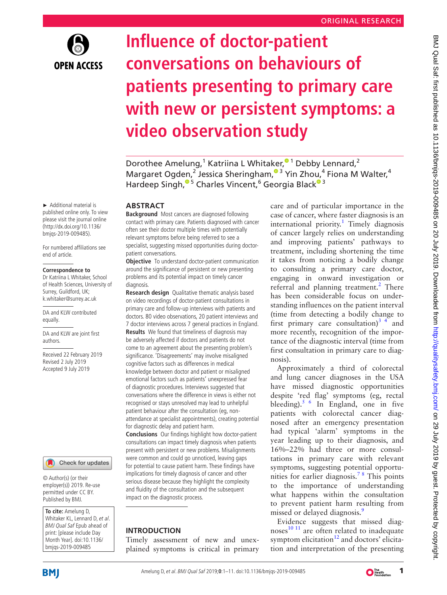

# **Influence of doctor-patient conversations on behaviours of patients presenting to primary care with new or persistent symptoms: a video observation study**

Dorothee Amelung[,](http://orcid.org/0000-0002-0947-1840)<sup>1</sup> Katriina L Whitaker,<sup>01</sup> Debby Lennard,<sup>2</sup> Margaret Ogden[,](http://orcid.org/0000-0003-3468-129X)<sup>2</sup> Jessica Sheringham,<sup>®3</sup> Yin Zhou,<sup>4</sup> Fiona M Walter,<sup>4</sup> Hardeep Singh,<sup>® 5</sup> Charles Vincent,<sup>6</sup> Georgia Black<sup>® 3</sup>

#### **ABSTRACT**

**Background** Most cancers are diagnosed following contact with primary care. Patients diagnosed with cancer often see their doctor multiple times with potentially relevant symptoms before being referred to see a specialist, suggesting missed opportunities during doctorpatient conversations.

**Objective** To understand doctor-patient communication around the significance of persistent or new presenting problems and its potential impact on timely cancer diagnosis.

**Research design** Qualitative thematic analysis based on video recordings of doctor-patient consultations in primary care and follow-up interviews with patients and doctors. 80 video observations, 20 patient interviews and 7 doctor interviews across 7 general practices in England. **Results** We found that timeliness of diagnosis may be adversely affected if doctors and patients do not come to an agreement about the presenting problem's significance. 'Disagreements' may involve misaligned cognitive factors such as differences in medical knowledge between doctor and patient or misaligned emotional factors such as patients' unexpressed fear of diagnostic procedures. Interviews suggested that conversations where the difference in views is either not recognised or stays unresolved may lead to unhelpful patient behaviour after the consultation (eg, nonattendance at specialist appointments), creating potential for diagnostic delay and patient harm.

**Conclusions** Our findings highlight how doctor-patient consultations can impact timely diagnosis when patients present with persistent or new problems. Misalignments were common and could go unnoticed, leaving gaps for potential to cause patient harm. These findings have implications for timely diagnosis of cancer and other serious disease because they highlight the complexity and fluidity of the consultation and the subsequent impact on the diagnostic process.

#### **Introduction**

Timely assessment of new and unexplained symptoms is critical in primary care and of particular importance in the case of cancer, where faster diagnosis is an international priority.<sup>[1](#page-8-0)</sup> Timely diagnosis of cancer largely relies on understanding and improving patients' pathways to treatment, including shortening the time it takes from noticing a bodily change to consulting a primary care doctor, engaging in onward investigation or referral and planning treatment.<sup>[2](#page-8-1)</sup> There has been considerable focus on understanding influences on the patient interval (time from detecting a bodily change to first primary care consultation)<sup>3</sup> 4 and more recently, recognition of the importance of the diagnostic interval (time from first consultation in primary care to diagnosis).

Approximately a third of colorectal and lung cancer diagnoses in the USA have missed diagnostic opportunities despite 'red flag' symptoms (eg, rectal bleeding).<sup>[5 6](#page-9-0)</sup> In England, one in five patients with colorectal cancer diagnosed after an emergency presentation had typical 'alarm' symptoms in the year leading up to their diagnosis, and 16%–22% had three or more consultations in primary care with relevant symptoms, suggesting potential opportunities for earlier diagnosis.<sup>78</sup> This points to the importance of understanding what happens within the consultation to prevent patient harm resulting from missed or delayed diagnosis.<sup>[9](#page-9-2)</sup>

Evidence suggests that missed diagnoses $^{10}$ <sup>11</sup> are often related to inadequate symptom elicitation $12$  and doctors' elicitation and interpretation of the presenting

► Additional material is published online only. To view please visit the journal online [\(http://dx.doi.org/10.1136/](http://dx.doi.org/10.1136/bmjqs-2019-009485) [bmjqs-2019-009485](http://dx.doi.org/10.1136/bmjqs-2019-009485)).

For numbered affiliations see end of article.

#### **Correspondence to**

Dr Katriina L Whitaker, School of Health Sciences, University of Surrey, Guildford, UK; k.whitaker@surrey.ac.uk

DA and KLW contributed equally.

DA and KLW are joint first authors.

Received 22 February 2019 Revised 2 July 2019 Accepted 9 July 2019



© Author(s) (or their employer(s)) 2019. Re-use permitted under CC BY. Published by BMJ.

**To cite:** Amelung D, Whitaker KL, Lennard D, et al. BMJ Qual Saf Epub ahead of print: [please include Day Month Year]. doi:10.1136/ bmjqs-2019-009485

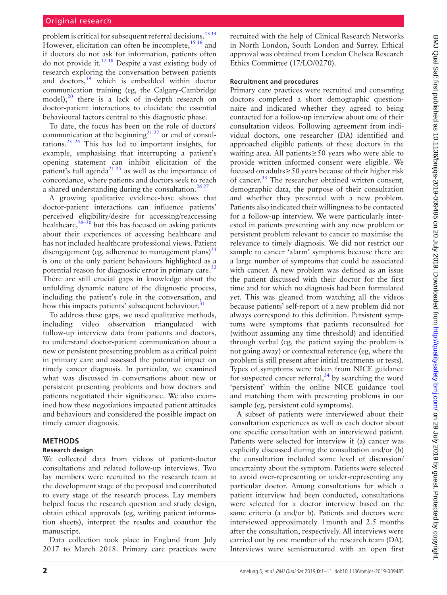problem is critical for subsequent referral decisions.<sup>[13 14](#page-9-5)</sup> However, elicitation can often be incomplete,  $15 \frac{16}{16}$  and if doctors do not ask for information, patients often do not provide it.[17 18](#page-9-7) Despite a vast existing body of research exploring the conversation between patients and doctors,[19](#page-9-8) which is embedded within doctor communication training (eg, the Calgary-Cambridge model), $^{20}$  $^{20}$  $^{20}$  there is a lack of in-depth research on doctor-patient interactions to elucidate the essential behavioural factors central to this diagnostic phase.

To date, the focus has been on the role of doctors' communication at the beginning<sup>[21 22](#page-9-10)</sup> or end of consultations.<sup>23 24</sup> This has led to important insights, for example, emphasising that interrupting a patient's opening statement can inhibit elicitation of the patient's full agenda<sup>21 25</sup> as well as the importance of concordance, where patients and doctors seek to reach a shared understanding during the consultation.<sup>26,27</sup>

A growing qualitative evidence-base shows that doctor-patient interactions can influence patients' perceived eligibility/desire for accessing/reaccessing healthcare, $28-30$  but this has focused on asking patients about their experiences of accessing healthcare and has not included healthcare professional views. Patient disengagement (eg, adherence to management plans) $31$ is one of the only patient behaviours highlighted as a potential reason for diagnostic error in primary care.<sup>[32](#page-9-15)</sup> There are still crucial gaps in knowledge about the unfolding dynamic nature of the diagnostic process, including the patient's role in the conversation, and how this impacts patients' subsequent behaviour. $31$ 

To address these gaps, we used qualitative methods, including video observation triangulated with follow-up interview data from patients and doctors, to understand doctor-patient communication about a new or persistent presenting problem as a critical point in primary care and assessed the potential impact on timely cancer diagnosis. In particular, we examined what was discussed in conversations about new or persistent presenting problems and how doctors and patients negotiated their significance. We also examined how these negotiations impacted patient attitudes and behaviours and considered the possible impact on timely cancer diagnosis.

#### **Methods**

#### **Research design**

We collected data from videos of patient-doctor consultations and related follow-up interviews. Two lay members were recruited to the research team at the development stage of the proposal and contributed to every stage of the research process. Lay members helped focus the research question and study design, obtain ethical approvals (eg, writing patient information sheets), interpret the results and coauthor the manuscript.

Data collection took place in England from July 2017 to March 2018. Primary care practices were

recruited with the help of Clinical Research Networks in North London, South London and Surrey. Ethical approval was obtained from London Chelsea Research Ethics Committee (17/LO/0270).

#### **Recruitment and procedures**

Primary care practices were recruited and consenting doctors completed a short demographic questionnaire and indicated whether they agreed to being contacted for a follow-up interview about one of their consultation videos. Following agreement from individual doctors, one researcher (DA) identified and approached eligible patients of these doctors in the waiting area. All patients≥50 years who were able to provide written informed consent were eligible. We focused on adults≥50 years because of their higher risk of cancer.<sup>[33](#page-9-16)</sup> The researcher obtained written consent, demographic data, the purpose of their consultation and whether they presented with a new problem. Patients also indicated their willingness to be contacted for a follow-up interview. We were particularly interested in patients presenting with any new problem or persistent problem relevant to cancer to maximise the relevance to timely diagnosis. We did not restrict our sample to cancer 'alarm' symptoms because there are a large number of symptoms that could be associated with cancer. A new problem was defined as an issue the patient discussed with their doctor for the first time and for which no diagnosis had been formulated yet. This was gleaned from watching all the videos because patients' self-report of a new problem did not always correspond to this definition. Persistent symptoms were symptoms that patients reconsulted for (without assuming any time threshold) and identified through verbal (eg, the patient saying the problem is not going away) or contextual reference (eg, where the problem is still present after initial treatments or tests). Types of symptoms were taken from NICE guidance for suspected cancer referral, $34$  by searching the word 'persistent' within the online NICE guidance tool and matching them with presenting problems in our sample (eg, persistent cold symptoms).

A subset of patients were interviewed about their consultation experiences as well as each doctor about one specific consultation with an interviewed patient. Patients were selected for interview if (a) cancer was explicitly discussed during the consultation and/or (b) the consultation included some level of discussion/ uncertainty about the symptom. Patients were selected to avoid over-representing or under-representing any particular doctor. Among consultations for which a patient interview had been conducted, consultations were selected for a doctor interview based on the same criteria (a and/or b). Patients and doctors were interviewed approximately 1month and 2.5 months after the consultation, respectively. All interviews were carried out by one member of the research team (DA). Interviews were semistructured with an open first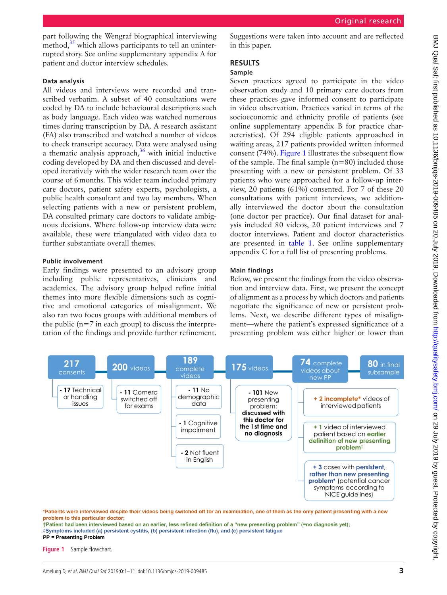part following the Wengraf biographical interviewing method, $35$  which allows participants to tell an uninterrupted story. See [online supplementary appendix A](https://dx.doi.org/10.1136/bmjqs-2019-009485) for patient and doctor interview schedules.

## **Data analysis**

All videos and interviews were recorded and transcribed verbatim. A subset of 40 consultations were coded by DA to include behavioural descriptions such as body language. Each video was watched numerous times during transcription by DA. A research assistant (FA) also transcribed and watched a number of videos to check transcript accuracy. Data were analysed using a thematic analysis approach, $36$  with initial inductive coding developed by DA and then discussed and developed iteratively with the wider research team over the course of 6months. This wider team included primary care doctors, patient safety experts, psychologists, a public health consultant and two lay members. When selecting patients with a new or persistent problem, DA consulted primary care doctors to validate ambiguous decisions. Where follow-up interview data were available, these were triangulated with video data to further substantiate overall themes.

#### **Public involvement**

Early findings were presented to an advisory group including public representatives, clinicians and academics. The advisory group helped refine initial themes into more flexible dimensions such as cognitive and emotional categories of misalignment. We also ran two focus groups with additional members of the public  $(n=7$  in each group) to discuss the interpretation of the findings and provide further refinement. Suggestions were taken into account and are reflected in this paper.

# **Results**

## **Sample**

Seven practices agreed to participate in the video observation study and 10 primary care doctors from these practices gave informed consent to participate in video observation. Practices varied in terms of the socioeconomic and ethnicity profile of patients (see [online supplementary appendix B](https://dx.doi.org/10.1136/bmjqs-2019-009485) for practice characteristics). Of 294 eligible patients approached in waiting areas, 217 patients provided written informed consent (74%). [Figure](#page-2-0) 1 illustrates the subsequent flow of the sample. The final sample  $(n=80)$  included those presenting with a new or persistent problem. Of 33 patients who were approached for a follow-up interview, 20 patients (61%) consented. For 7 of these 20 consultations with patient interviews, we additionally interviewed the doctor about the consultation (one doctor per practice). Our final dataset for analysis included 80 videos, 20 patient interviews and 7 doctor interviews. Patient and doctor characteristics are presented in [table](#page-3-0) 1. See [online supplementary](https://dx.doi.org/10.1136/bmjqs-2019-009485) [appendix C](https://dx.doi.org/10.1136/bmjqs-2019-009485) for a full list of presenting problems.

## **Main findings**

Below, we present the findings from the video observation and interview data. First, we present the concept of alignment as a process by which doctors and patients negotiate the significance of new or persistent problems. Next, we describe different types of misalignment—where the patient's expressed significance of a presenting problem was either higher or lower than



\*Patients were interviewed despite their videos being switched off for an examination, one of them as the only patient presenting with a new problem to this particular doctor:

<span id="page-2-0"></span>†Patient had been interviewed based on an earlier, less refined definition of a "new presenting problem" (=no diagnosis yet); ◊Symptoms included (a) persistent cystitis, (b) persistent infection (flu), and (c) persistent fatigue **PP = Presenting Problem** 

**Figure 1** Sample flowchart.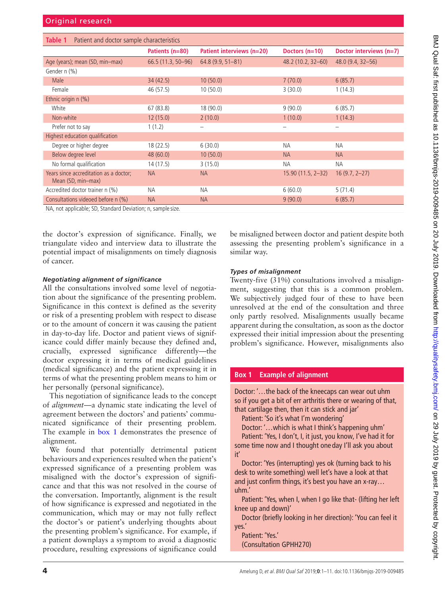<span id="page-3-0"></span>

| Patient and doctor sample characteristics<br>Table 1         |                     |                           |                     |                         |  |
|--------------------------------------------------------------|---------------------|---------------------------|---------------------|-------------------------|--|
|                                                              | Patients (n=80)     | Patient interviews (n=20) | Doctors $(n=10)$    | Doctor interviews (n=7) |  |
| Age (years); mean (SD, min-max)                              | $66.5(11.3, 50-96)$ | $64.8(9.9, 51 - 81)$      | 48.2 (10.2, 32-60)  | $48.0(9.4, 32 - 56)$    |  |
| Gender n (%)                                                 |                     |                           |                     |                         |  |
| Male                                                         | 34(42.5)            | 10(50.0)                  | 7(70.0)             | 6(85.7)                 |  |
| Female                                                       | 46 (57.5)           | 10(50.0)                  | 3(30.0)             | 1(14.3)                 |  |
| Ethnic origin n (%)                                          |                     |                           |                     |                         |  |
| White                                                        | 67(83.8)            | 18 (90.0)                 | 9(90.0)             | 6(85.7)                 |  |
| Non-white                                                    | 12(15.0)            | 2(10.0)                   | 1(10.0)             | 1(14.3)                 |  |
| Prefer not to say                                            | 1(1.2)              |                           |                     |                         |  |
| Highest education qualification                              |                     |                           |                     |                         |  |
| Degree or higher degree                                      | 18(22.5)            | 6(30.0)                   | <b>NA</b>           | <b>NA</b>               |  |
| Below degree level                                           | 48(60.0)            | 10(50.0)                  | <b>NA</b>           | <b>NA</b>               |  |
| No formal qualification                                      | 14 (17.5)           | 3(15.0)                   | <b>NA</b>           | <b>NA</b>               |  |
| Years since accreditation as a doctor;<br>Mean (SD, min-max) | <b>NA</b>           | <b>NA</b>                 | $15.90(11.5, 2-32)$ | $16(9.7, 2-27)$         |  |
| Accredited doctor trainer n (%)                              | <b>NA</b>           | <b>NA</b>                 | 6(60.0)             | 5(71.4)                 |  |
| Consultations videoed before n (%)                           | <b>NA</b>           | <b>NA</b>                 | 9(90.0)             | 6(85.7)                 |  |

NA, not applicable; SD, Standard Deviation; n, sample size.

the doctor's expression of significance. Finally, we triangulate video and interview data to illustrate the potential impact of misalignments on timely diagnosis of cancer.

#### *Negotiating alignment of significance*

All the consultations involved some level of negotiation about the significance of the presenting problem. Significance in this context is defined as the severity or risk of a presenting problem with respect to disease or to the amount of concern it was causing the patient in day-to-day life. Doctor and patient views of significance could differ mainly because they defined and, crucially, expressed significance differently—the doctor expressing it in terms of medical guidelines (medical significance) and the patient expressing it in terms of what the presenting problem means to him or her personally (personal significance).

This negotiation of significance leads to the concept of *alignment*—a dynamic state indicating the level of agreement between the doctors' and patients' communicated significance of their presenting problem. The example in [box](#page-3-1) 1 demonstrates the presence of alignment.

We found that potentially detrimental patient behaviours and experiences resulted when the patient's expressed significance of a presenting problem was misaligned with the doctor's expression of significance and that this was not resolved in the course of the conversation. Importantly, alignment is the result of how significance is expressed and negotiated in the communication, which may or may not fully reflect the doctor's or patient's underlying thoughts about the presenting problem's significance. For example, if a patient downplays a symptom to avoid a diagnostic procedure, resulting expressions of significance could

be misaligned between doctor and patient despite both assessing the presenting problem's significance in a similar way.

#### *Types of misalignment*

Twenty-five (31%) consultations involved a misalignment, suggesting that this is a common problem. We subjectively judged four of these to have been unresolved at the end of the consultation and three only partly resolved. Misalignments usually became apparent during the consultation, as soon as the doctor expressed their initial impression about the presenting problem's significance. However, misalignments also

### **Box 1 Example of alignment**

<span id="page-3-1"></span>Doctor: '…the back of the kneecaps can wear out uhm so if you get a bit of err arthritis there or wearing of that, that cartilage then, then it can stick and jar'

Patient: 'So it's what I'm wondering'

Doctor: '…which is what I think's happening uhm' Patient: 'Yes, I don't, I, it just, you know, I've had it for

some time now and I thought one day I'll ask you about it'

Doctor: 'Yes (interrupting) yes ok (turning back to his desk to write something) well let's have a look at that and just confirm things, it's best you have an x-ray… uhm.'

Patient: 'Yes, when I, when I go like that- (lifting her left knee up and down)'

Doctor (briefly looking in her direction): 'You can feel it yes.'

Patient: 'Yes.' (Consultation GPHH270)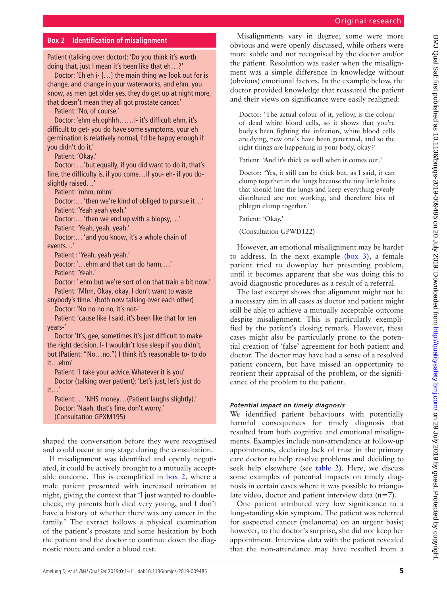# Original research

# **Box 2 Identification of misalignment**

<span id="page-4-0"></span>Patient (talking over doctor): 'Do you think it's worth doing that, just I mean it's been like that eh…?'

Doctor: 'Eh eh i- […] the main thing we look out for is change, and change in your waterworks, and ehm, you know, as men get older yes, they do get up at night more, that doesn't mean they all got prostate cancer.'

Patient: 'No, of course.'

Doctor: 'ehm eh,ophhh……i- it's difficult ehm, it's difficult to get- you do have some symptoms, your eh germination is relatively normal, I'd be happy enough if you didn't do it.'

Patient: 'Okay.'

Doctor: …'but equally, if you did want to do it, that's fine, the difficulty is, if you come…if you- eh- if you doslightly raised…'

Patient: 'mhm, mhm'

Doctor:… 'then we're kind of obliged to pursue it…' Patient: 'Yeah yeah yeah.'

Doctor:… 'then we end up with a biopsy,…'

Patient: 'Yeah, yeah, yeah.'

Doctor:… 'and you know, it's a whole chain of events…'

Patient : 'Yeah, yeah yeah.'

Doctor: '…ehm and that can do harm,…'

Patient: 'Yeah.'

Doctor: '.ehm but we're sort of on that train a bit now.' Patient: 'Mhm, Okay, okay. I don't want to waste

anybody's time.' (both now talking over each other) Doctor: 'No no no no, it's not-'

Patient: 'cause like I said, it's been like that for ten years-'

Doctor 'It's, gee, sometimes it's just difficult to make the right decision, I- I wouldn't lose sleep if you didn't, but (Patient: "No…no.") I think it's reasonable to- to do it…ehm'

Patient: 'I take your advice. Whatever it is you' Doctor (talking over patient): 'Let's just, let's just do it…'

Patient:… 'NHS money…(Patient laughs slightly).' Doctor: 'Naah, that's fine, don't worry.' (Consultation GPXM195)

shaped the conversation before they were recognised and could occur at any stage during the consultation.

If misalignment was identified and openly negotiated, it could be actively brought to a mutually acceptable outcome. This is exemplified in [box](#page-4-0) 2, where a male patient presented with increased urination at night, giving the context that 'I just wanted to doublecheck, my parents both died very young, and I don't have a history of whether there was any cancer in the family.' The extract follows a physical examination of the patient's prostate and some hesitation by both the patient and the doctor to continue down the diagnostic route and order a blood test.

Misalignments vary in degree; some were more obvious and were openly discussed, while others were more subtle and not recognised by the doctor and/or the patient. Resolution was easier when the misalignment was a simple difference in knowledge without (obvious) emotional factors. In the example below, the doctor provided knowledge that reassured the patient and their views on significance were easily realigned:

Doctor: 'The actual colour of it, yellow, is the colour of dead white blood cells, so it shows that you're body's been fighting the infection, white blood cells are dying, new one's have been generated, and so the right things are happening in your body, okay?'

Patient: 'And it's thick as well when it comes out.'

Doctor: 'Yes, it still can be thick but, as I said, it can clump together in the lungs because the tiny little hairs that should line the lungs and keep everything evenly distributed are not working, and therefore bits of phlegm clump together.'

Patient: 'Okay.'

(Consultation GPWD122)

However, an emotional misalignment may be harder to address. In the next example ([box](#page-5-0) 3), a female patient tried to downplay her presenting problem, until it becomes apparent that she was doing this to avoid diagnostic procedures as a result of a referral.

The last excerpt shows that alignment might not be a necessary aim in all cases as doctor and patient might still be able to achieve a mutually acceptable outcome despite misalignment. This is particularly exemplified by the patient's closing remark. However, these cases might also be particularly prone to the potential creation of 'false' agreement for both patient and doctor. The doctor may have had a sense of a resolved patient concern, but have missed an opportunity to reorient their appraisal of the problem, or the significance of the problem to the patient.

## *Potential impact on timely diagnosis*

We identified patient behaviours with potentially harmful consequences for timely diagnosis that resulted from both cognitive and emotional misalignments. Examples include non-attendance at follow-up appointments, declaring lack of trust in the primary care doctor to help resolve problems and deciding to seek help elsewhere (see [table](#page-6-0) 2). Here, we discuss some examples of potential impacts on timely diagnosis in certain cases where it was possible to triangulate video, doctor and patient interview data  $(n=7)$ .

One patient attributed very low significance to a long-standing skin symptom. The patient was referred for suspected cancer (melanoma) on an urgent basis; however, to the doctor's surprise, she did not keep her appointment. Interview data with the patient revealed that the non-attendance may have resulted from a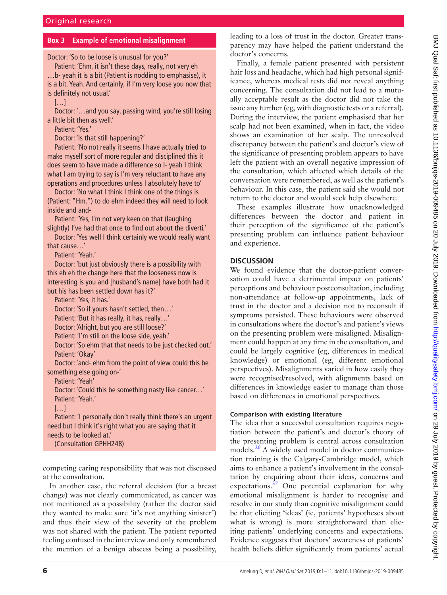#### **Box 3 Example of emotional misalignment**

<span id="page-5-0"></span>Doctor: 'So to be loose is unusual for you?'

Patient: 'Ehm, it isn't these days, really, not very eh …b- yeah it is a bit (Patient is nodding to emphasise), it is a bit. Yeah. And certainly, if I'm very loose you now that is definitely not usual.'

 $[...]$ 

Doctor: '…and you say, passing wind, you're still losing a little bit then as well.'

Patient: 'Yes.'

Doctor: 'Is that still happening?'

Patient: 'No not really it seems I have actually tried to make myself sort of more regular and disciplined this it does seem to have made a difference so I- yeah I think what I am trying to say is I'm very reluctant to have any operations and procedures unless I absolutely have to'

Doctor: 'No what I think I think one of the things is (Patient: "Hm.") to do ehm indeed they will need to look inside and and-

Patient: 'Yes, I'm not very keen on that (laughing slightly) I've had that once to find out about the diverti.'

Doctor: 'Yes well I think certainly we would really want that cause…'

Patient: 'Yeah.'

Doctor: 'but just obviously there is a possibility with this eh eh the change here that the looseness now is interesting is you and [husband's name] have both had it but his has been settled down has it?'

Patient: 'Yes, it has.'

Doctor: 'So if yours hasn't settled, then…'

Patient: 'But it has really, it has, really…' Doctor: 'Alright, but you are still loose?'

Patient: 'I'm still on the loose side, yeah.'

Doctor: 'So ehm that that needs to be just checked out.' Patient: 'Okay'

Doctor: 'and- ehm from the point of view could this be something else going on-'

Patient: 'Yeah'

Doctor: 'Could this be something nasty like cancer…' Patient: 'Yeah.'

[…]

Patient: 'I personally don't really think there's an urgent need but I think it's right what you are saying that it needs to be looked at.' (Consultation GPHH248)

competing caring responsibility that was not discussed at the consultation.

In another case, the referral decision (for a breast change) was not clearly communicated, as cancer was not mentioned as a possibility (rather the doctor said they wanted to make sure 'it's not anything sinister') and thus their view of the severity of the problem was not shared with the patient. The patient reported feeling confused in the interview and only remembered the mention of a benign abscess being a possibility,

leading to a loss of trust in the doctor. Greater transparency may have helped the patient understand the doctor's concerns.

Finally, a female patient presented with persistent hair loss and headache, which had high personal significance, whereas medical tests did not reveal anything concerning. The consultation did not lead to a mutually acceptable result as the doctor did not take the issue any further (eg, with diagnostic tests or a referral). During the interview, the patient emphasised that her scalp had not been examined, when in fact, the video shows an examination of her scalp. The unresolved discrepancy between the patient's and doctor's view of the significance of presenting problem appears to have left the patient with an overall negative impression of the consultation, which affected which details of the conversation were remembered, as well as the patient's behaviour. In this case, the patient said she would not return to the doctor and would seek help elsewhere.

These examples illustrate how unacknowledged differences between the doctor and patient in their perception of the significance of the patient's presenting problem can influence patient behaviour and experience.

## **Discussion**

We found evidence that the doctor-patient conversation could have a detrimental impact on patients' perceptions and behaviour postconsultation, including non-attendance at follow-up appointments, lack of trust in the doctor and a decision not to reconsult if symptoms persisted. These behaviours were observed in consultations where the doctor's and patient's views on the presenting problem were misaligned. Misalignment could happen at any time in the consultation, and could be largely cognitive (eg, differences in medical knowledge) or emotional (eg, different emotional perspectives). Misalignments varied in how easily they were recognised/resolved, with alignments based on differences in knowledge easier to manage than those based on differences in emotional perspectives.

#### **Comparison with existing literature**

The idea that a successful consultation requires negotiation between the patient's and doctor's theory of the presenting problem is central across consultation models.[20](#page-9-9) A widely used model in doctor communication training is the Calgary-Cambridge model, which aims to enhance a patient's involvement in the consultation by enquiring about their ideas, concerns and expectations. $37$  One potential explanation for why emotional misalignment is harder to recognise and resolve in our study than cognitive misalignment could be that eliciting 'ideas' (ie, patients' hypotheses about what is wrong) is more straightforward than eliciting patients' underlying concerns and expectations. Evidence suggests that doctors' awareness of patients' health beliefs differ significantly from patients' actual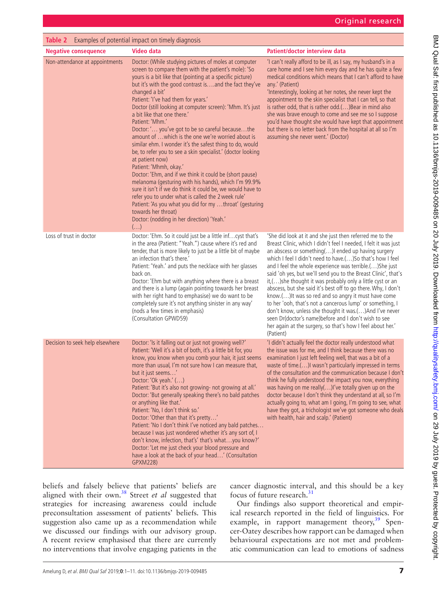<span id="page-6-0"></span>

| Table 2 Examples of potential impact on timely diagnosis |                                                                                                                                                                                                                                                                                                                                                                                                                                                                                                                                                                                                                                                                                                                                                                                                                                                                                                                                                                                                                                                                                                  |                                                                                                                                                                                                                                                                                                                                                                                                                                                                                                                                                                                                                                                                                                                                                                                                                               |  |  |  |
|----------------------------------------------------------|--------------------------------------------------------------------------------------------------------------------------------------------------------------------------------------------------------------------------------------------------------------------------------------------------------------------------------------------------------------------------------------------------------------------------------------------------------------------------------------------------------------------------------------------------------------------------------------------------------------------------------------------------------------------------------------------------------------------------------------------------------------------------------------------------------------------------------------------------------------------------------------------------------------------------------------------------------------------------------------------------------------------------------------------------------------------------------------------------|-------------------------------------------------------------------------------------------------------------------------------------------------------------------------------------------------------------------------------------------------------------------------------------------------------------------------------------------------------------------------------------------------------------------------------------------------------------------------------------------------------------------------------------------------------------------------------------------------------------------------------------------------------------------------------------------------------------------------------------------------------------------------------------------------------------------------------|--|--|--|
| <b>Negative consequence</b>                              | <b>Video data</b>                                                                                                                                                                                                                                                                                                                                                                                                                                                                                                                                                                                                                                                                                                                                                                                                                                                                                                                                                                                                                                                                                | Patient/doctor interview data                                                                                                                                                                                                                                                                                                                                                                                                                                                                                                                                                                                                                                                                                                                                                                                                 |  |  |  |
| Non-attendance at appointments                           | Doctor: (While studying pictures of moles at computer<br>screen to compare them with the patient's mole): 'So<br>yours is a bit like that (pointing at a specific picture)<br>but it's with the good contrast is and the fact they've<br>changed a bit'<br>Patient: 'I've had them for years.'<br>Doctor (still looking at computer screen): 'Mhm. It's just<br>a bit like that one there.'<br>Patient: 'Mhm.'<br>Doctor: ' you've got to be so careful becausethe<br>amount of  which is the one we're worried about is<br>similar ehm. I wonder it's the safest thing to do, would<br>be, to refer you to see a skin specialist.' (doctor looking<br>at patient now)<br>Patient: 'Mhmh, okay.'<br>Doctor: 'Ehm, and if we think it could be (short pause)<br>melanoma (gesturing with his hands), which I'm 99.9%<br>sure it isn't if we do think it could be, we would have to<br>refer you to under what is called the 2 week rule'<br>Patient: 'As you what you did for my throat' (gesturing<br>towards her throat)<br>Doctor: (nodding in her direction) 'Yeah.'<br>$\left(\ldots\right)$ | 'I can't really afford to be ill, as I say, my husband's in a<br>care home and I see him every day and he has quite a few<br>medical conditions which means that I can't afford to have<br>any.' (Patient)<br>'Interestingly, looking at her notes, she never kept the<br>appointment to the skin specialist that I can tell, so that<br>is rather odd, that is rather odd.() Bear in mind also<br>she was brave enough to come and see me so I suppose<br>you'd have thought she would have kept that appointment<br>but there is no letter back from the hospital at all so I'm<br>assuming she never went.' (Doctor)                                                                                                                                                                                                       |  |  |  |
| Loss of trust in doctor                                  | Doctor: 'Ehm. So it could just be a little infcyst that's<br>in the area (Patient: "Yeah.") cause where it's red and<br>tender, that is more likely to just be a little bit of maybe<br>an infection that's there.'<br>Patient: 'Yeah.' and puts the necklace with her glasses<br>back on.<br>Doctor: 'Ehm but with anything where there is a breast<br>and there is a lump (again pointing towards her breast<br>with her right hand to emphasise) we do want to be<br>completely sure it's not anything sinister in any way'<br>(nods a few times in emphasis)<br>(Consultation GPWD59)                                                                                                                                                                                                                                                                                                                                                                                                                                                                                                        | 'She did look at it and she just then referred me to the<br>Breast Clinic, which I didn't feel I needed, I felt it was just<br>an abscess or something()I ended up having surgery<br>which I feel I didn't need to have.() So that's how I feel<br>and I feel the whole experience was terrible.() She just<br>said 'oh yes, but we'll send you to the Breast Clinic', that's<br>it,()she thought it was probably only a little cyst or an<br>abscess, but she said it's best off to go there. Why, I don't<br>know.() It was so red and so angry it must have come<br>to her 'ooh, that's not a cancerous lump' or something, I<br>don't know, unless she thought it was.()And I've never<br>seen Dr(doctor's name)before and I don't wish to see<br>her again at the surgery, so that's how I feel about her.'<br>(Patient) |  |  |  |
| Decision to seek help elsewhere                          | Doctor: 'Is it falling out or just not growing well?'<br>Patient: 'Well it's a bit of both, it's a little bit for, you<br>know, you know when you comb your hair, it just seems<br>more than usual, I'm not sure how I can measure that,<br>but it just seems'<br>Doctor: 'Ok yeah.' ()<br>Patient: 'But it's also not growing- not growing at all.'<br>Doctor: 'But generally speaking there's no bald patches<br>or anything like that.'<br>Patient: 'No, I don't think so.'<br>Doctor: 'Other than that it's pretty'<br>Patient: 'No I don't think I've noticed any bald patches<br>because I was just wondered whether it's any sort of, I<br>don't know, infection, that's' that's whatyou know?'<br>Doctor: 'Let me just check your blood pressure and<br>have a look at the back of your head' (Consultation<br>GPXM228)                                                                                                                                                                                                                                                                  | 'I didn't actually feel the doctor really understood what<br>the issue was for me, and I think because there was no<br>examination I just left feeling well, that was a bit of a<br>waste of time.() I wasn't particularly impressed in terms<br>of the consultation and the communication because I don't<br>think he fully understood the impact you now, everything<br>was having on me really()I've totally given up on the<br>doctor because I don't think they understand at all, so I'm<br>actually going to, what am I going, I'm going to see, what<br>have they got, a trichologist we've got someone who deals<br>with health, hair and scalp.' (Patient)                                                                                                                                                          |  |  |  |

beliefs and falsely believe that patients' beliefs are aligned with their own.[38](#page-9-21) Street *et al* suggested that strategies for increasing awareness could include preconsultation assessment of patients' beliefs. This suggestion also came up as a recommendation while we discussed our findings with our advisory group. A recent review emphasised that there are currently no interventions that involve engaging patients in the

cancer diagnostic interval, and this should be a key focus of future research.<sup>[31](#page-9-14)</sup>

Our findings also support theoretical and empirical research reported in the field of linguistics. For example, in rapport management theory,<sup>39</sup> Spencer-Oatey describes how rapport can be damaged when behavioural expectations are not met and problematic communication can lead to emotions of sadness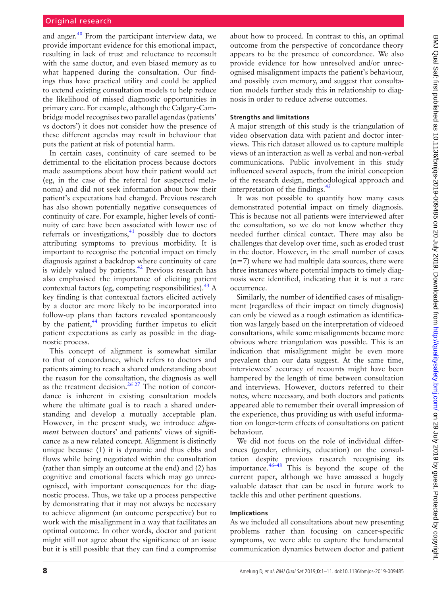and anger.<sup>40</sup> From the participant interview data, we provide important evidence for this emotional impact, resulting in lack of trust and reluctance to reconsult with the same doctor, and even biased memory as to what happened during the consultation. Our findings thus have practical utility and could be applied to extend existing consultation models to help reduce the likelihood of missed diagnostic opportunities in primary care. For example, although the Calgary-Cambridge model recognises two parallel agendas (patients' vs doctors') it does not consider how the presence of these different agendas may result in behaviour that puts the patient at risk of potential harm.

In certain cases, continuity of care seemed to be detrimental to the elicitation process because doctors made assumptions about how their patient would act (eg, in the case of the referral for suspected melanoma) and did not seek information about how their patient's expectations had changed. Previous research has also shown potentially negative consequences of continuity of care. For example, higher levels of continuity of care have been associated with lower use of referrals or investigations,<sup>[41](#page-9-24)</sup> possibly due to doctors attributing symptoms to previous morbidity. It is important to recognise the potential impact on timely diagnosis against a backdrop where continuity of care is widely valued by patients.<sup>[42](#page-10-0)</sup> Previous research has also emphasised the importance of eliciting patient contextual factors (eg, competing responsibilities).  $43 \text{ A}$  $43 \text{ A}$ key finding is that contextual factors elicited actively by a doctor are more likely to be incorporated into follow-up plans than factors revealed spontaneously by the patient, $44$  providing further impetus to elicit patient expectations as early as possible in the diagnostic process.

This concept of alignment is somewhat similar to that of concordance, which refers to doctors and patients aiming to reach a shared understanding about the reason for the consultation, the diagnosis as well as the treatment decision.<sup>26 27</sup> The notion of concordance is inherent in existing consultation models where the ultimate goal is to reach a shared understanding and develop a mutually acceptable plan. However, in the present study, we introduce *alignment* between doctors' and patients' views of significance as a new related concept. Alignment is distinctly unique because (1) it is dynamic and thus ebbs and flows while being negotiated within the consultation (rather than simply an outcome at the end) and (2) has cognitive and emotional facets which may go unrecognised, with important consequences for the diagnostic process. Thus, we take up a process perspective by demonstrating that it may not always be necessary to achieve alignment (an outcome perspective) but to work with the misalignment in a way that facilitates an optimal outcome. In other words, doctor and patient might still not agree about the significance of an issue but it is still possible that they can find a compromise

about how to proceed. In contrast to this, an optimal outcome from the perspective of concordance theory appears to be the presence of concordance. We also provide evidence for how unresolved and/or unrecognised misalignment impacts the patient's behaviour, and possibly even memory, and suggest that consultation models further study this in relationship to diagnosis in order to reduce adverse outcomes.

#### **Strengths and limitations**

A major strength of this study is the triangulation of video observation data with patient and doctor interviews. This rich dataset allowed us to capture multiple views of an interaction as well as verbal and non-verbal communications. Public involvement in this study influenced several aspects, from the initial conception of the research design, methodological approach and interpretation of the findings. $45$ 

It was not possible to quantify how many cases demonstrated potential impact on timely diagnosis. This is because not all patients were interviewed after the consultation, so we do not know whether they needed further clinical contact. There may also be challenges that develop over time, such as eroded trust in the doctor. However, in the small number of cases  $(n=7)$  where we had multiple data sources, there were three instances where potential impacts to timely diagnosis were identified, indicating that it is not a rare occurrence.

Similarly, the number of identified cases of misalignment (regardless of their impact on timely diagnosis) can only be viewed as a rough estimation as identification was largely based on the interpretation of videoed consultations, while some misalignments became more obvious where triangulation was possible. This is an indication that misalignment might be even more prevalent than our data suggest. At the same time, interviewees' accuracy of recounts might have been hampered by the length of time between consultation and interviews. However, doctors referred to their notes, where necessary, and both doctors and patients appeared able to remember their overall impression of the experience, thus providing us with useful information on longer-term effects of consultations on patient behaviour.

We did not focus on the role of individual differences (gender, ethnicity, education) on the consultation despite previous research recognising its importance. $46-48$  This is beyond the scope of the current paper, although we have amassed a hugely valuable dataset that can be used in future work to tackle this and other pertinent questions.

#### **Implications**

As we included all consultations about new presenting problems rather than focusing on cancer-specific symptoms, we were able to capture the fundamental communication dynamics between doctor and patient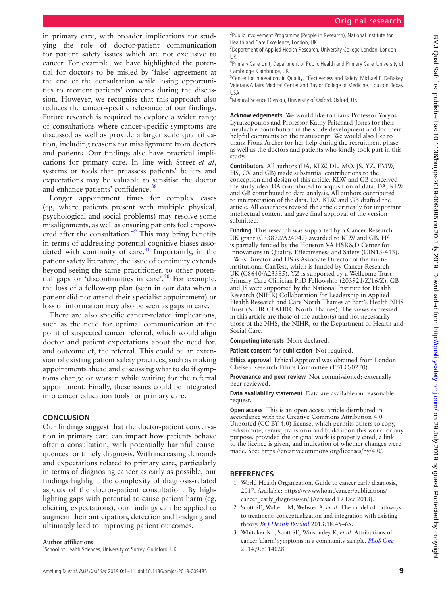in primary care, with broader implications for studying the role of doctor-patient communication for patient safety issues which are not exclusive to cancer. For example, we have highlighted the potential for doctors to be misled by 'false' agreement at the end of the consultation while losing opportunities to reorient patients' concerns during the discussion. However, we recognise that this approach also reduces the cancer-specific relevance of our findings. Future research is required to explore a wider range of consultations where cancer-specific symptoms are discussed as well as provide a larger scale quantification, including reasons for misalignment from doctors and patients. Our findings also have practical implications for primary care. In line with Street *et al*, systems or tools that preassess patients' beliefs and expectations may be valuable to sensitise the doctor and enhance patients' confidence.<sup>[38](#page-9-21)</sup>

Longer appointment times for complex cases (eg, where patients present with multiple physical, psychological and social problems) may resolve some misalignments, as well as ensuring patients feel empowered after the consultation.<sup>49</sup> This may bring benefits in terms of addressing potential cognitive biases associated with continuity of care. $41$  Importantly, in the patient safety literature, the issue of continuity extends beyond seeing the same practitioner, to other potential gaps or 'discontinuities in care'.<sup>50</sup> For example, the loss of a follow-up plan (seen in our data when a patient did not attend their specialist appointment) or loss of information may also be seen as gaps in care.

There are also specific cancer-related implications, such as the need for optimal communication at the point of suspected cancer referral, which would align doctor and patient expectations about the need for, and outcome of, the referral. This could be an extension of existing patient safety practices, such as making appointments ahead and discussing what to do if symptoms change or worsen while waiting for the referral appointment. Finally, these issues could be integrated into cancer education tools for primary care.

## **Conclusion**

Our findings suggest that the doctor-patient conversation in primary care can impact how patients behave after a consultation, with potentially harmful consequences for timely diagnosis. With increasing demands and expectations related to primary care, particularly in terms of diagnosing cancer as early as possible, our findings highlight the complexity of diagnosis-related aspects of the doctor-patient consultation. By highlighting gaps with potential to cause patient harm (eg, eliciting expectations), our findings can be applied to augment their anticipation, detection and bridging and ultimately lead to improving patient outcomes.

#### **Author affiliations**

<sup>1</sup>School of Health Sciences, University of Surrey, Guildford, UK

<sup>2</sup>Public Involvement Programme (People in Research), National Institute for Health and Care Excellence, London, UK

<sup>3</sup>Department of Applied Health Research, University College London, London, UK

<sup>4</sup>Primary Care Unit, Department of Public Health and Primary Care, University of Cambridge, Cambridge, UK

<sup>5</sup> Center for Innovations in Quality, Effectiveness and Safety, Michael E. DeBakey Veterans Affairs Medical Center and Baylor College of Medicine, Houston, Texas, USA

<sup>6</sup>Medical Science Division, University of Oxford, Oxford, UK

**Acknowledgements** We would like to thank Professor Yoryos Lyratzopoulos and Professor Kathy Pritchard-Jones for their invaluable contribution in the study development and for their helpful comments on the manuscript. We would also like to thank Fiona Archer for her help during the recruitment phase as well as the doctors and patients who kindly took part in this study.

**Contributors** All authors (DA, KLW, DL, MO, JS, YZ, FMW, HS, CV and GB) made substantial contributions to the conception and design of this article. KLW and GB conceived the study idea. DA contributed to acquisition of data. DA, KLW and GB contributed to data analysis. All authors contributed to interpretation of the data. DA, KLW and GB drafted the article. All coauthors revised the article critically for important intellectual content and gave final approval of the version submitted.

**Funding** This research was supported by a Cancer Research UK grant (C33872/A24047) awarded to KLW and GB. HS is partially funded by the Houston VA HSR&D Center for Innovations in Quality, Effectiveness and Safety (CIN13-413). FW is Director and HS is Associate Director of the multiinstitutional CanTest, which is funded by Cancer Research UK (C8640/A23385). YZ is supported by a Wellcome Trust Primary Care Clinician PhD Fellowship (203921/Z/16/Z). GB and JS were supported by the National Institute for Health Research (NIHR) Collaboration for Leadership in Applied Health Research and Care North Thames at Bart's Health NHS Trust (NIHR CLAHRC North Thames). The views expressed in this article are those of the author(s) and not necessarily those of the NHS, the NIHR, or the Department of Health and Social Care.

**Competing interests** None declared.

**Patient consent for publication** Not required.

**Ethics approval** Ethical Approval was obtained from London Chelsea Research Ethics Committee (17/LO/0270).

**Provenance and peer review** Not commissioned; externally peer reviewed.

**Data availability statement** Data are available on reasonable request.

**Open access** This is an open access article distributed in accordance with the Creative Commons Attribution 4.0 Unported (CC BY 4.0) license, which permits others to copy, redistribute, remix, transform and build upon this work for any purpose, provided the original work is properly cited, a link to the licence is given, and indication of whether changes were made. See: <https://creativecommons.org/licenses/by/4.0/>.

# **References**

- <span id="page-8-0"></span>1 World Health Organization. Guide to cancer early diagnosis, 2017. Available: [https://wwwwhoint/cancer/publications/](https://wwwwhoint/cancer/publications/cancer_early_diagnosis/en/) [cancer\\_early\\_diagnosis/en/](https://wwwwhoint/cancer/publications/cancer_early_diagnosis/en/) [Accessed 19 Dec 2018].
- <span id="page-8-1"></span>2 Scott SE, Walter FM, Webster A, *et al*. The model of pathways to treatment: conceptualization and integration with existing theory. *[Br J Health Psychol](http://dx.doi.org/10.1111/j.2044-8287.2012.02077.x)* 2013;18:45–65.
- <span id="page-8-2"></span>3 Whitaker KL, Scott SE, Winstanley K, *et al*. Attributions of cancer 'alarm' symptoms in a community sample. *[PLoS One](http://dx.doi.org/10.1371/journal.pone.0114028)* 2014;9:e114028.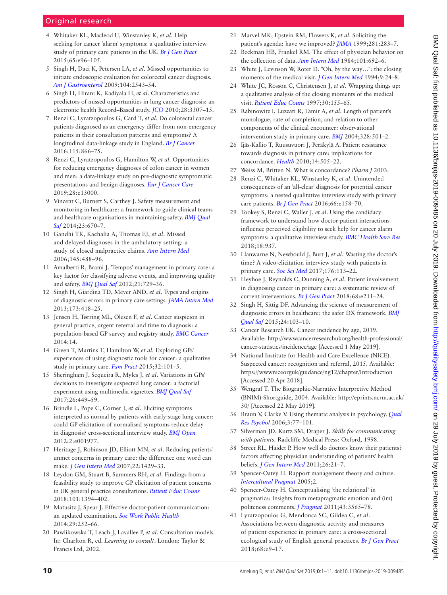# Original research

- 4 Whitaker KL, Macleod U, Winstanley K, *et al*. Help seeking for cancer 'alarm' symptoms: a qualitative interview study of primary care patients in the UK. *[Br J Gen Pract](http://dx.doi.org/10.3399/bjgp15X683533)* 2015;65:e96–105.
- <span id="page-9-0"></span>5 Singh H, Daci K, Petersen LA, *et al*. Missed opportunities to initiate endoscopic evaluation for colorectal cancer diagnosis. *[Am J Gastroenterol](http://dx.doi.org/10.1038/ajg.2009.324)* 2009;104:2543–54.
- 6 Singh H, Hirani K, Kadiyala H, *et al*. Characteristics and predictors of missed opportunities in lung cancer diagnosis: an electronic health Record–Based study. *[JCO](http://dx.doi.org/10.1200/JCO.2009.25.6636)* 2010;28:3307–15.
- <span id="page-9-1"></span>7 Renzi C, Lyratzopoulos G, Card T, *et al*. Do colorectal cancer patients diagnosed as an emergency differ from non-emergency patients in their consultation patterns and symptoms? A longitudinal data-linkage study in England. *[Br J Cancer](http://dx.doi.org/10.1038/bjc.2016.250)* 2016;115:866–75.
- 8 Renzi C, Lyratzopoulos G, Hamilton W, *et al*. Opportunities for reducing emergency diagnoses of colon cancer in women and men: a data-linkage study on pre-diagnostic symptomatic presentations and benign diagnoses. *[Eur J Cancer Care](http://dx.doi.org/10.1111/ecc.13000)* 2019;28:e13000.
- <span id="page-9-2"></span>9 Vincent C, Burnett S, Carthey J. Safety measurement and monitoring in healthcare: a framework to guide clinical teams and healthcare organisations in maintaining safety. *[BMJ Qual](http://dx.doi.org/10.1136/bmjqs-2013-002757)  [Saf](http://dx.doi.org/10.1136/bmjqs-2013-002757)* 2014;23:670–7.
- <span id="page-9-3"></span>10 Gandhi TK, Kachalia A, Thomas EJ, *et al*. Missed and delayed diagnoses in the ambulatory setting: a study of closed malpractice claims. *[Ann Intern Med](http://dx.doi.org/10.7326/0003-4819-145-7-200610030-00006)* 2006;145:488–96.
- 11 Amalberti R, Brami J. 'Tempos' management in primary care: a key factor for classifying adverse events, and improving quality and safety. *[BMJ Qual Saf](http://dx.doi.org/10.1136/bmjqs-2011-048710)* 2012;21:729–36.
- <span id="page-9-4"></span>12 Singh H, Giardina TD, Meyer AND, *et al*. Types and origins of diagnostic errors in primary care settings. *[JAMA Intern Med](http://dx.doi.org/10.1001/jamainternmed.2013.2777)* 2013;173:418–25.
- <span id="page-9-5"></span>13 Jensen H, Tørring ML, Olesen F, *et al*. Cancer suspicion in general practice, urgent referral and time to diagnosis: a population-based GP survey and registry study. *[BMC Cancer](http://dx.doi.org/10.1186/1471-2407-14-636)* 2014;14.
- 14 Green T, Martins T, Hamilton W, *et al*. Exploring GPs' experiences of using diagnostic tools for cancer: a qualitative study in primary care. *[Fam Pract](http://dx.doi.org/10.1093/fampra/cmu081)* 2015;32:101–5.
- <span id="page-9-6"></span>15 Sheringham J, Sequeira R, Myles J, *et al*. Variations in GPs' decisions to investigate suspected lung cancer: a factorial experiment using multimedia vignettes. *[BMJ Qual Saf](http://dx.doi.org/10.1136/bmjqs-2016-005679)* 2017;26:449–59.
- 16 Brindle L, Pope C, Corner J, *et al*. Eliciting symptoms interpreted as normal by patients with early-stage lung cancer: could GP elicitation of normalised symptoms reduce delay in diagnosis? cross-sectional interview study. *[BMJ Open](http://dx.doi.org/10.1136/bmjopen-2012-001977)* 2012;2:e001977.
- <span id="page-9-7"></span>17 Heritage J, Robinson JD, Elliott MN, *et al*. Reducing patients' unmet concerns in primary care: the difference one word can make. *[J Gen Intern Med](http://dx.doi.org/10.1007/s11606-007-0279-0)* 2007;22:1429–33.
- 18 Leydon GM, Stuart B, Summers RH, *et al*. Findings from a feasibility study to improve GP elicitation of patient concerns in UK general practice consultations. *[Patient Educ Couns](http://dx.doi.org/10.1016/j.pec.2018.03.009)* 2018;101:1394–402.
- <span id="page-9-8"></span>19 Matusitz J, Spear J. Effective doctor-patient communication: an updated examination. *[Soc Work Public Health](http://dx.doi.org/10.1080/19371918.2013.776416)* 2014;29:252–66.
- <span id="page-9-9"></span>20 Pawlikowska T, Leach J, Lavallee P, *et al*. Consultation models. In: Charlton R, ed. *Learning to consult*. London: Taylor & Francis Ltd, 2002.
- <span id="page-9-10"></span>21 Marvel MK, Epstein RM, Flowers K, *et al*. Soliciting the patient's agenda: have we improved? *[JAMA](http://dx.doi.org/10.1001/jama.281.3.283)* 1999;281:283–7.
- 22 Beckman HB, Frankel RM. The effect of physician behavior on the collection of data. *[Ann Intern Med](http://dx.doi.org/10.7326/0003-4819-101-5-692)* 1984;101:692–6.
- <span id="page-9-11"></span>23 White J, Levinson W, Roter D. "Oh, by the way…": the closing moments of the medical visit. *[J Gen Intern Med](http://dx.doi.org/10.1007/bf02599139)* 1994;9:24–8.
- 24 White JC, Rosson C, Christensen J, *et al*. Wrapping things up: a qualitative analysis of the closing moments of the medical visit. *[Patient Educ Couns](http://dx.doi.org/10.1016/S0738-3991(96)00962-7)* 1997;30:155–65.
- 25 Rabinowitz I, Luzzati R, Tamir A, *et al*. Length of patient's monologue, rate of completion, and relation to other components of the clinical encounter: observational intervention study in primary care. *[BMJ](http://dx.doi.org/10.1136/bmj.328.7438.501)* 2004;328:501–2.
- <span id="page-9-12"></span>26 Ijäs-Kallio T, Ruusuvuori J, Peräkylä A. Patient resistance towards diagnosis in primary care: implications for concordance. *[Health](http://dx.doi.org/10.1177/1363459309360798)* 2010;14:505–22.
- 27 Weiss M, Britten N. What is concordance? *Pharm J* 2003.
- <span id="page-9-13"></span>28 Renzi C, Whitaker KL, Winstanley K, *et al*. Unintended consequences of an 'all-clear' diagnosis for potential cancer symptoms: a nested qualitative interview study with primary care patients. *[Br J Gen Pract](http://dx.doi.org/10.3399/bjgp16X683845)* 2016;66:e158–70.
- 29 Tookey S, Renzi C, Waller J, *et al*. Using the candidacy framework to understand how doctor-patient interactions influence perceived eligibility to seek help for cancer alarm symptoms: a qualitative interview study. *[BMC Health Serv Res](http://dx.doi.org/10.1186/s12913-018-3730-5)* 2018;18:937.
- 30 Llanwarne N, Newbould J, Burt J, *et al*. Wasting the doctor's time? A video-elicitation interview study with patients in primary care. *[Soc Sci Med](http://dx.doi.org/10.1016/j.socscimed.2017.01.025)* 2017;176:113–22.
- <span id="page-9-14"></span>31 Heyhoe J, Reynolds C, Dunning A, *et al*. Patient involvement in diagnosing cancer in primary care: a systematic review of current interventions. *[Br J Gen Pract](http://dx.doi.org/10.3399/bjgp18X695045)* 2018;68:e211–24.
- <span id="page-9-15"></span>32 Singh H, Sittig DF. Advancing the science of measurement of diagnostic errors in healthcare: the safer DX framework. *[BMJ](http://dx.doi.org/10.1136/bmjqs-2014-003675)  [Qual Saf](http://dx.doi.org/10.1136/bmjqs-2014-003675)* 2015;24:103–10.
- <span id="page-9-16"></span>33 Cancer Research UK. Cancer incidence by age, 2019. Available: [http://wwwcancerresearchukorg/health-professional/](http://wwwcancerresearchukorg/health-professional/cancer-statistics/incidence/age) [cancer-statistics/incidence/age](http://wwwcancerresearchukorg/health-professional/cancer-statistics/incidence/age) [Accessed 1 May 2019].
- <span id="page-9-17"></span>34 National Institute for Health and Care Excellence (NICE). Suspected cancer: recognition and referral, 2015. Available: <https://wwwniceorguk/guidance/ng12/chapter/Introduction> [Accessed 20 Apr 2018].
- <span id="page-9-18"></span>35 Wengraf T. The Biographic-Narrative Interpretive Method (BNIM)-Shortguide, 2004. Available: [http://eprints.ncrm.ac.uk/](http://eprints.ncrm.ac.uk/30/) [30/](http://eprints.ncrm.ac.uk/30/) [Accessed 22 May 2019].
- <span id="page-9-19"></span>36 Braun V, Clarke V. Using thematic analysis in psychology. *[Qual](http://dx.doi.org/10.1191/1478088706qp063oa)  [Res Psychol](http://dx.doi.org/10.1191/1478088706qp063oa)* 2006;3:77–101.
- <span id="page-9-20"></span>37 Silverman JD, Kurtz SM, Draper J. *Skills for communicating with patients*. Radcliffe Medical Press: Oxford, 1998.
- <span id="page-9-21"></span>38 Street RL, Haidet P. How well do doctors know their patients? factors affecting physician understanding of patients' health beliefs. *[J Gen Intern Med](http://dx.doi.org/10.1007/s11606-010-1453-3)* 2011;26:21–7.
- <span id="page-9-22"></span>39 Spencer-Oatey H. Rapport management theory and culture. *[Intercultural Pragmat](http://dx.doi.org/10.1515/iprg.2005.2.3.335)* 2005;2.
- <span id="page-9-23"></span>40 Spencer-Oatey H. Conceptualising 'the relational' in pragmatics: Insights from metapragmatic emotion and (im) politeness comments. *[J Pragmat](http://dx.doi.org/10.1016/j.pragma.2011.08.009)* 2011;43:3565–78.
- <span id="page-9-24"></span>41 Lyratzopoulos G, Mendonca SC, Gildea C, *et al*. Associations between diagnostic activity and measures of patient experience in primary care: a cross-sectional ecological study of English general practices. *[Br J Gen Pract](http://dx.doi.org/10.3399/bjgp17X694097)* 2018;68:e9–17.